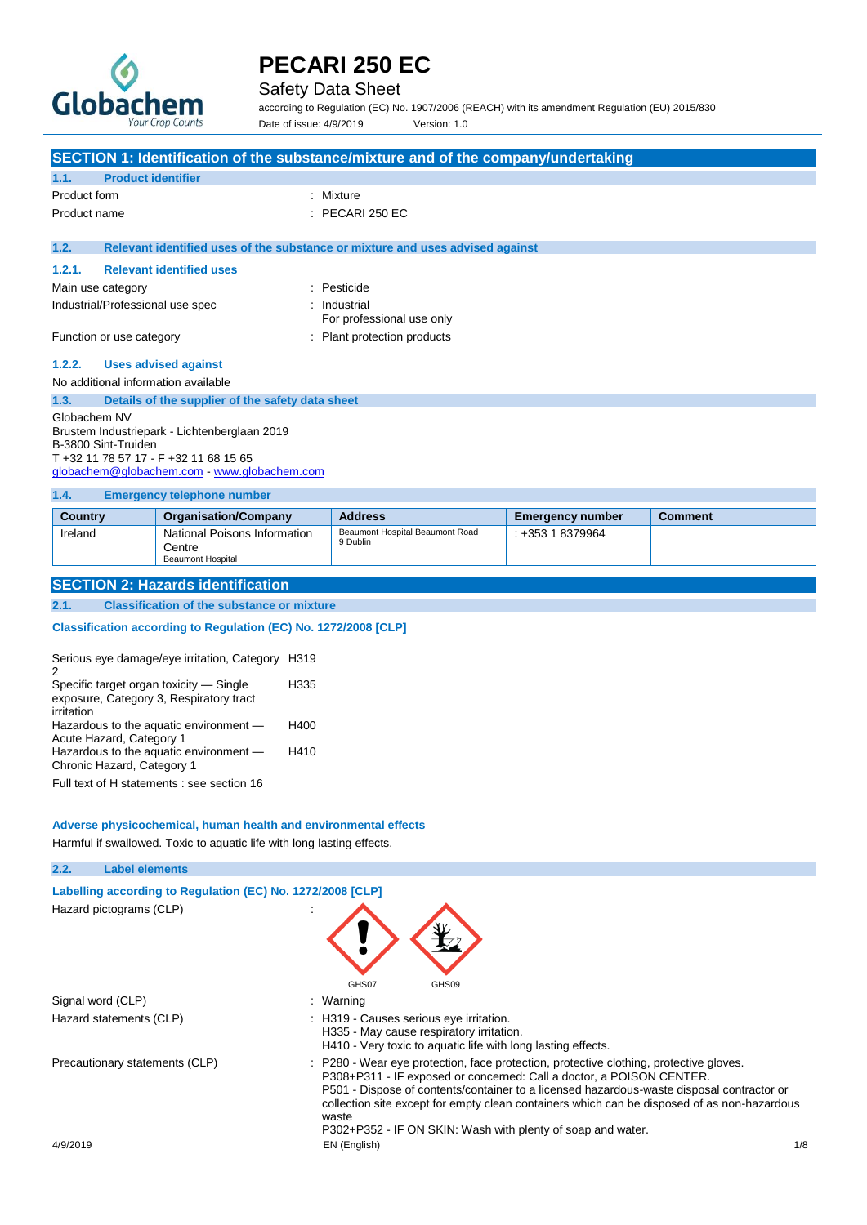

## Safety Data Sheet

according to Regulation (EC) No. 1907/2006 (REACH) with its amendment Regulation (EU) 2015/830 Date of issue: 4/9/2019 Version: 1.0

|                                                                                                                                                                             | SECTION 1: Identification of the substance/mixture and of the company/undertaking |  |
|-----------------------------------------------------------------------------------------------------------------------------------------------------------------------------|-----------------------------------------------------------------------------------|--|
| <b>Product identifier</b><br>1.1.                                                                                                                                           |                                                                                   |  |
| Product form                                                                                                                                                                | : Mixture                                                                         |  |
| Product name                                                                                                                                                                | $:$ PECARI 250 EC                                                                 |  |
| 1.2.                                                                                                                                                                        | Relevant identified uses of the substance or mixture and uses advised against     |  |
| <b>Relevant identified uses</b><br>1.2.1.                                                                                                                                   |                                                                                   |  |
| Main use category                                                                                                                                                           | : Pesticide                                                                       |  |
| Industrial/Professional use spec                                                                                                                                            | : Industrial<br>For professional use only                                         |  |
| Function or use category                                                                                                                                                    | : Plant protection products                                                       |  |
| <b>Uses advised against</b><br>1.2.2.                                                                                                                                       |                                                                                   |  |
| No additional information available                                                                                                                                         |                                                                                   |  |
| 1.3.<br>Details of the supplier of the safety data sheet                                                                                                                    |                                                                                   |  |
| Globachem NV<br>Brustem Industriepark - Lichtenberglaan 2019<br>B-3800 Sint-Truiden<br>T +32 11 78 57 17 - F +32 11 68 15 65<br>globachem@globachem.com - www.globachem.com |                                                                                   |  |
| <b>Emergency telephone number</b><br>1.4.                                                                                                                                   |                                                                                   |  |

| <b>Country</b> | <b>Organisation/Company</b>                                 | <b>Address</b>                              | <b>Emergency number</b> | <b>Comment</b> |
|----------------|-------------------------------------------------------------|---------------------------------------------|-------------------------|----------------|
| Ireland        | National Poisons Information<br>Centre<br>Beaumont Hospital | Beaumont Hospital Beaumont Road<br>9 Dublin | : +353 1 8379964        |                |

## **SECTION 2: Hazards identification**

### **2.1. Classification of the substance or mixture**

## **Classification according to Regulation (EC) No. 1272/2008 [CLP]**

| Serious eye damage/eye irritation, Category H319<br>2                              |      |
|------------------------------------------------------------------------------------|------|
| Specific target organ toxicity - Single<br>exposure, Category 3, Respiratory tract | H335 |
| irritation                                                                         |      |
| Hazardous to the aquatic environment -                                             | H400 |
| Acute Hazard, Category 1                                                           |      |
| Hazardous to the aquatic environment -                                             | H410 |
| Chronic Hazard, Category 1                                                         |      |
|                                                                                    |      |

Full text of H statements : see section 16

#### **Adverse physicochemical, human health and environmental effects**

Harmful if swallowed. Toxic to aquatic life with long lasting effects.

| 2.2.     | <b>Label elements</b>                                      |                                                                                                                                                                                                                                                                                                                                                                                                                                    |              |
|----------|------------------------------------------------------------|------------------------------------------------------------------------------------------------------------------------------------------------------------------------------------------------------------------------------------------------------------------------------------------------------------------------------------------------------------------------------------------------------------------------------------|--------------|
|          | Labelling according to Regulation (EC) No. 1272/2008 [CLP] |                                                                                                                                                                                                                                                                                                                                                                                                                                    |              |
|          | Hazard pictograms (CLP)                                    | GHS07<br>GHS09                                                                                                                                                                                                                                                                                                                                                                                                                     |              |
|          | Signal word (CLP)                                          | : Warning                                                                                                                                                                                                                                                                                                                                                                                                                          |              |
|          | Hazard statements (CLP)                                    | : H319 - Causes serious eye irritation.<br>H335 - May cause respiratory irritation.<br>H410 - Very toxic to aquatic life with long lasting effects.                                                                                                                                                                                                                                                                                |              |
|          | Precautionary statements (CLP)                             | : P280 - Wear eye protection, face protection, protective clothing, protective gloves.<br>P308+P311 - IF exposed or concerned: Call a doctor, a POISON CENTER.<br>P501 - Dispose of contents/container to a licensed hazardous-waste disposal contractor or<br>collection site except for empty clean containers which can be disposed of as non-hazardous<br>waste<br>P302+P352 - IF ON SKIN: Wash with plenty of soap and water. |              |
| 4/9/2019 |                                                            | EN (English)                                                                                                                                                                                                                                                                                                                                                                                                                       | $1/\epsilon$ |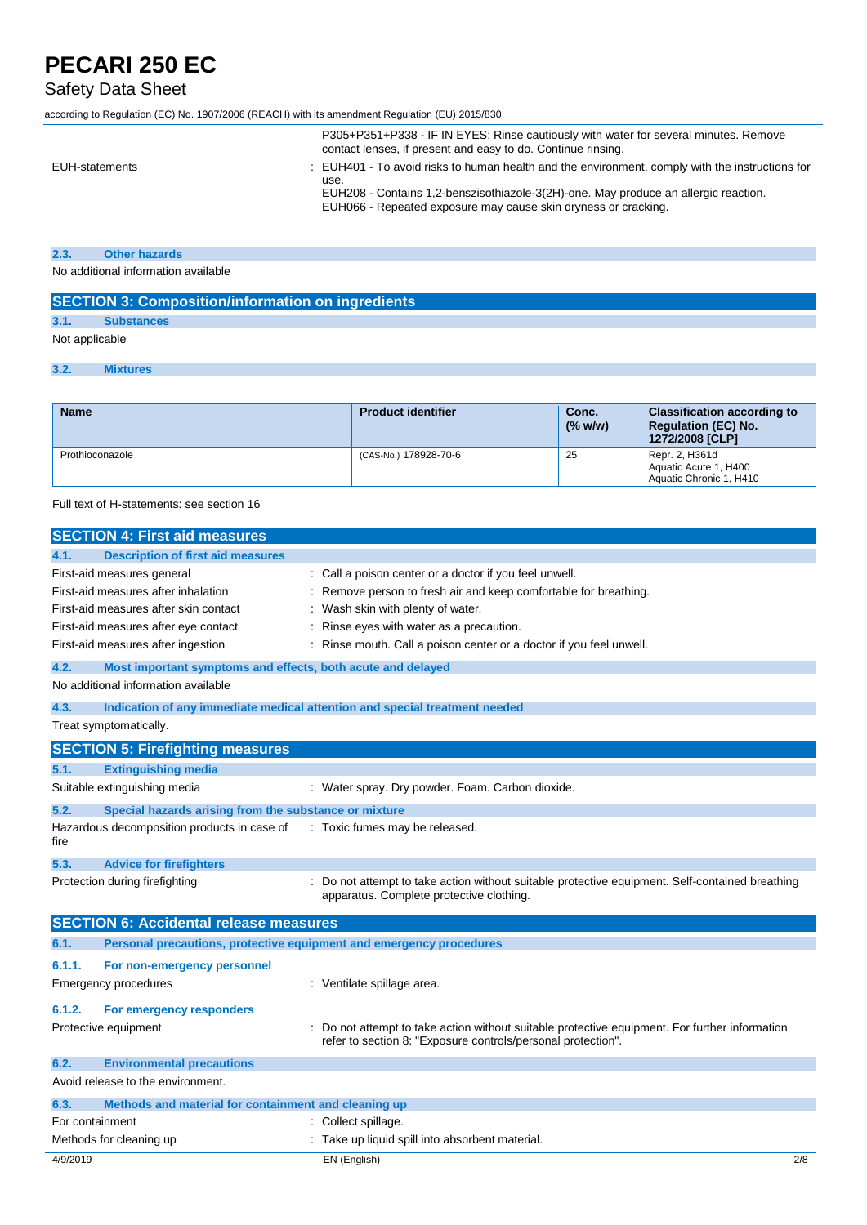## Safety Data Sheet

according to Regulation (EC) No. 1907/2006 (REACH) with its amendment Regulation (EU) 2015/830

|                | P305+P351+P338 - IF IN EYES: Rinse cautiously with water for several minutes. Remove<br>contact lenses, if present and easy to do. Continue rinsing.                                                                                                             |
|----------------|------------------------------------------------------------------------------------------------------------------------------------------------------------------------------------------------------------------------------------------------------------------|
| EUH-statements | : EUH401 - To avoid risks to human health and the environment, comply with the instructions for<br>use.<br>EUH208 - Contains 1,2-benszisothiazole-3(2H)-one. May produce an allergic reaction.<br>EUH066 - Repeated exposure may cause skin dryness or cracking. |

## **2.3. Other hazards**

No additional information available

| <b>SECTION 3: Composition/information on ingredients</b> |                   |  |
|----------------------------------------------------------|-------------------|--|
|                                                          | <b>Substances</b> |  |
| Not applicable                                           |                   |  |
|                                                          | <b>Mixtures</b>   |  |

| <b>Name</b>     | <b>Product identifier</b> | Conc.<br>(% w/w) | <b>Classification according to</b><br><b>Requlation (EC) No.</b><br>1272/2008 [CLP] |
|-----------------|---------------------------|------------------|-------------------------------------------------------------------------------------|
| Prothioconazole | (CAS-No.) 178928-70-6     | 25               | Repr. 2, H361d<br>Aquatic Acute 1, H400<br>Aquatic Chronic 1, H410                  |

Full text of H-statements: see section 16

|                 | <b>SECTION 4: First aid measures</b>                                |                                                                                                                                                              |
|-----------------|---------------------------------------------------------------------|--------------------------------------------------------------------------------------------------------------------------------------------------------------|
| 4.1.            | <b>Description of first aid measures</b>                            |                                                                                                                                                              |
|                 | First-aid measures general                                          | Call a poison center or a doctor if you feel unwell.                                                                                                         |
|                 | First-aid measures after inhalation                                 | Remove person to fresh air and keep comfortable for breathing.                                                                                               |
|                 | First-aid measures after skin contact                               | Wash skin with plenty of water.                                                                                                                              |
|                 | First-aid measures after eye contact                                | Rinse eyes with water as a precaution.                                                                                                                       |
|                 | First-aid measures after ingestion                                  | Rinse mouth. Call a poison center or a doctor if you feel unwell.                                                                                            |
| 4.2.            | Most important symptoms and effects, both acute and delayed         |                                                                                                                                                              |
|                 | No additional information available                                 |                                                                                                                                                              |
| 4.3.            |                                                                     | Indication of any immediate medical attention and special treatment needed                                                                                   |
|                 | Treat symptomatically.                                              |                                                                                                                                                              |
|                 | <b>SECTION 5: Firefighting measures</b>                             |                                                                                                                                                              |
| 5.1.            | <b>Extinguishing media</b>                                          |                                                                                                                                                              |
|                 | Suitable extinguishing media                                        | : Water spray. Dry powder. Foam. Carbon dioxide.                                                                                                             |
| 5.2.            | Special hazards arising from the substance or mixture               |                                                                                                                                                              |
| fire            | Hazardous decomposition products in case of                         | : Toxic fumes may be released.                                                                                                                               |
| 5.3.            | <b>Advice for firefighters</b>                                      |                                                                                                                                                              |
|                 | Protection during firefighting                                      | Do not attempt to take action without suitable protective equipment. Self-contained breathing<br>apparatus. Complete protective clothing.                    |
|                 | <b>SECTION 6: Accidental release measures</b>                       |                                                                                                                                                              |
| 6.1.            | Personal precautions, protective equipment and emergency procedures |                                                                                                                                                              |
| 6.1.1.          | For non-emergency personnel                                         |                                                                                                                                                              |
|                 | <b>Emergency procedures</b>                                         | : Ventilate spillage area.                                                                                                                                   |
| 6.1.2.          | For emergency responders                                            |                                                                                                                                                              |
|                 | Protective equipment                                                | Do not attempt to take action without suitable protective equipment. For further information<br>refer to section 8: "Exposure controls/personal protection". |
| 6.2.            | <b>Environmental precautions</b>                                    |                                                                                                                                                              |
|                 | Avoid release to the environment.                                   |                                                                                                                                                              |
| 6.3.            | Methods and material for containment and cleaning up                |                                                                                                                                                              |
| For containment |                                                                     | Collect spillage.                                                                                                                                            |
|                 | Methods for cleaning up                                             | Take up liquid spill into absorbent material.                                                                                                                |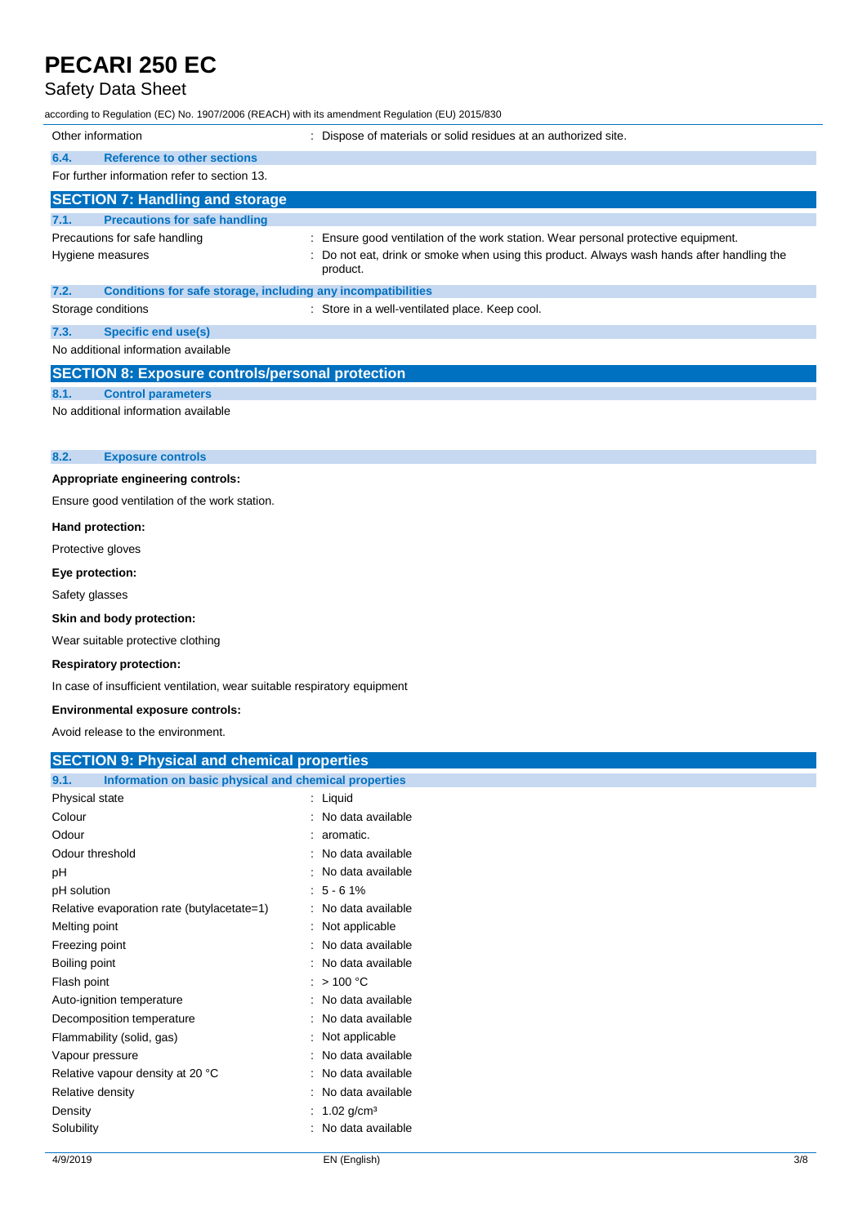## Safety Data Sheet

according to Regulation (EC) No. 1907/2006 (REACH) with its amendment Regulation (EU) 2015/830

| Other information                                                    | : Dispose of materials or solid residues at an authorized site.                                      |
|----------------------------------------------------------------------|------------------------------------------------------------------------------------------------------|
| <b>Reference to other sections</b><br>6.4.                           |                                                                                                      |
| For further information refer to section 13.                         |                                                                                                      |
| <b>SECTION 7: Handling and storage</b>                               |                                                                                                      |
| <b>Precautions for safe handling</b><br>7.1.                         |                                                                                                      |
| Precautions for safe handling                                        | Ensure good ventilation of the work station. Wear personal protective equipment.                     |
| Hygiene measures                                                     | Do not eat, drink or smoke when using this product. Always wash hands after handling the<br>product. |
| 7.2.<br>Conditions for safe storage, including any incompatibilities |                                                                                                      |
| Storage conditions                                                   | : Store in a well-ventilated place. Keep cool.                                                       |
| <b>Specific end use(s)</b><br>7.3.                                   |                                                                                                      |
| No additional information available                                  |                                                                                                      |
| <b>SECTION 8: Exposure controls/personal protection</b>              |                                                                                                      |
| <b>Control parameters</b><br>8.1.                                    |                                                                                                      |
| No additional information available                                  |                                                                                                      |
|                                                                      |                                                                                                      |
| 8.2.<br><b>Exposure controls</b>                                     |                                                                                                      |
| Appropriate engineering controls:                                    |                                                                                                      |
| Ensure good ventilation of the work station.                         |                                                                                                      |
| Hand protection:                                                     |                                                                                                      |
| Protective gloves                                                    |                                                                                                      |

### **Eye protection:**

Safety glasses

### **Skin and body protection:**

Wear suitable protective clothing

### **Respiratory protection:**

In case of insufficient ventilation, wear suitable respiratory equipment

#### **Environmental exposure controls:**

Avoid release to the environment.

| <b>SECTION 9: Physical and chemical properties</b> |  |  |
|----------------------------------------------------|--|--|

| Information on basic physical and chemical properties<br>9.1. |                     |
|---------------------------------------------------------------|---------------------|
| Physical state                                                | $:$ Liquid          |
| Colour                                                        | : No data available |
| Odour                                                         | $: a$ romatic.      |
| Odour threshold                                               | : No data available |
| рH                                                            | : No data available |
| pH solution                                                   | $: 5 - 61\%$        |
| Relative evaporation rate (butylacetate=1)                    | : No data available |
| Melting point                                                 | : Not applicable    |
| Freezing point                                                | : No data available |
| Boiling point                                                 | : No data available |
| Flash point                                                   | : $>100 °C$         |
| Auto-ignition temperature                                     | : No data available |
| Decomposition temperature                                     | : No data available |
| Flammability (solid, gas)                                     | : Not applicable    |
| Vapour pressure                                               | : No data available |
| Relative vapour density at 20 °C                              | : No data available |
| Relative density                                              | : No data available |
| Density                                                       | : 1.02 $q/cm^3$     |
| Solubility                                                    | : No data available |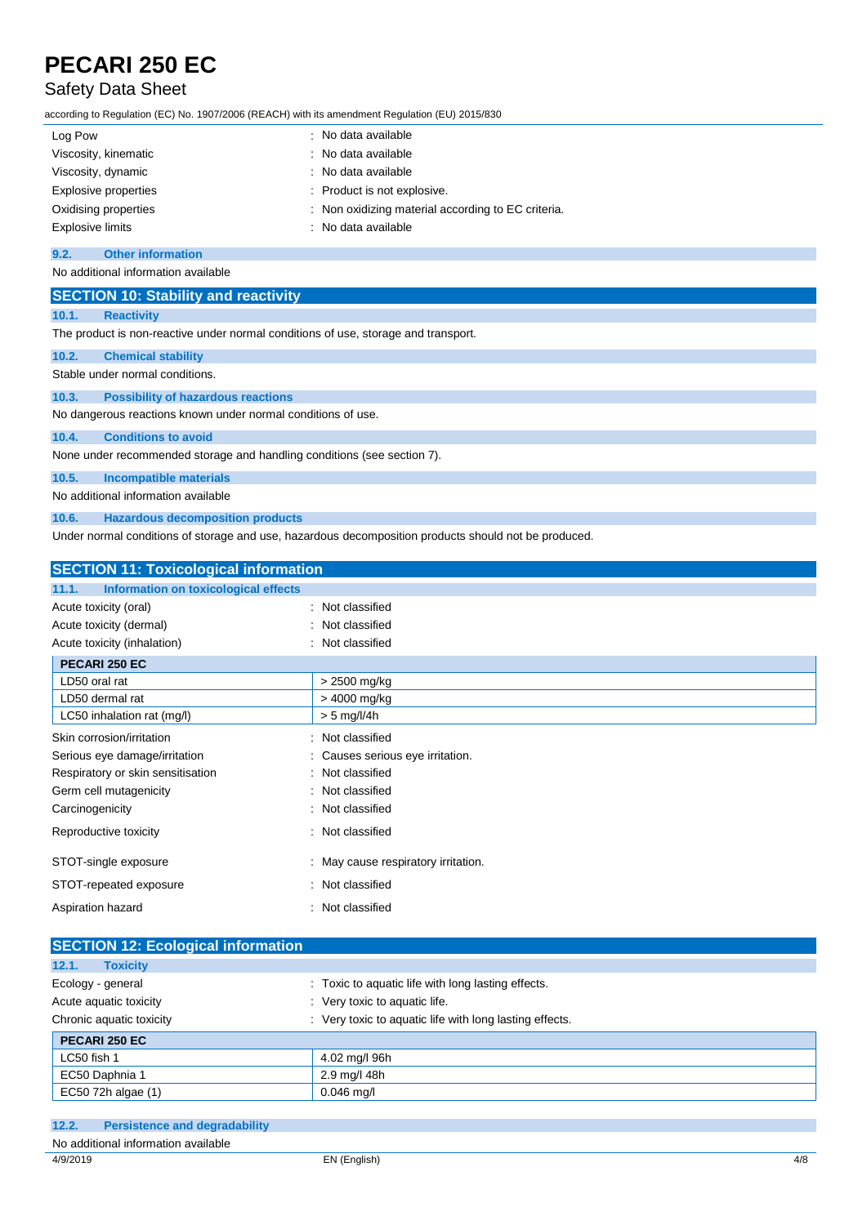## Safety Data Sheet

according to Regulation (EC) No. 1907/2006 (REACH) with its amendment Regulation (EU) 2015/830

| Log Pow              | : No data available                                |
|----------------------|----------------------------------------------------|
| Viscosity, kinematic | : No data available                                |
| Viscosity, dynamic   | : No data available                                |
| Explosive properties | : Product is not explosive.                        |
| Oxidising properties | : Non oxidizing material according to EC criteria. |
| Explosive limits     | : No data available                                |

#### **9.2. Other information**

No additional information available

|       | <b>SECTION 10: Stability and reactivity</b>                                        |
|-------|------------------------------------------------------------------------------------|
| 10.1. | <b>Reactivity</b>                                                                  |
|       | The product is non-reactive under normal conditions of use, storage and transport. |
| 10.2. | <b>Chemical stability</b>                                                          |
|       | Stable under normal conditions.                                                    |
| 10.3. | <b>Possibility of hazardous reactions</b>                                          |
|       | No dangerous reactions known under normal conditions of use.                       |
| 10.4. | <b>Conditions to avoid</b>                                                         |
|       | None under recommended storage and handling conditions (see section 7).            |
| 10.5. | <b>Incompatible materials</b>                                                      |
|       | No additional information available                                                |
| 10.6. | <b>Hazardous decomposition products</b>                                            |

Under normal conditions of storage and use, hazardous decomposition products should not be produced.

| <b>SECTION 11: Toxicological information</b>  |                                   |  |
|-----------------------------------------------|-----------------------------------|--|
| Information on toxicological effects<br>11.1. |                                   |  |
| Acute toxicity (oral)                         | Not classified                    |  |
| Acute toxicity (dermal)                       | Not classified                    |  |
| Acute toxicity (inhalation)                   | Not classified                    |  |
| PECARI 250 EC                                 |                                   |  |
| LD50 oral rat                                 | > 2500 mg/kg                      |  |
| LD50 dermal rat                               | > 4000 mg/kg                      |  |
| LC50 inhalation rat (mg/l)                    | $> 5$ mg/l/4h                     |  |
| Skin corrosion/irritation                     | Not classified                    |  |
| Serious eye damage/irritation                 | Causes serious eye irritation.    |  |
| Respiratory or skin sensitisation             | : Not classified                  |  |
| Germ cell mutagenicity<br>٠.                  | Not classified                    |  |
| Carcinogenicity                               | : Not classified                  |  |
| Reproductive toxicity                         | Not classified                    |  |
| STOT-single exposure                          | May cause respiratory irritation. |  |
| STOT-repeated exposure                        | : Not classified                  |  |
| Aspiration hazard                             | Not classified                    |  |

| <b>SECTION 12: Ecological information</b> |                                                         |  |
|-------------------------------------------|---------------------------------------------------------|--|
| 12.1.<br><b>Toxicity</b>                  |                                                         |  |
| Ecology - general                         | : Toxic to aquatic life with long lasting effects.      |  |
| Acute aquatic toxicity                    | : Very toxic to aquatic life.                           |  |
| Chronic aquatic toxicity                  | : Very toxic to aquatic life with long lasting effects. |  |
| PECARI 250 EC                             |                                                         |  |
| LC50 fish 1                               | 4.02 mg/l 96h                                           |  |
| EC50 Daphnia 1                            | 2.9 mg/l 48h                                            |  |
| EC50 72h algae (1)                        | $0.046$ mg/l                                            |  |

| 12.2.    | <b>Persistence and degradability</b> |              |     |
|----------|--------------------------------------|--------------|-----|
|          | No additional information available  |              |     |
| 4/9/2019 |                                      | EN (English) | 4/8 |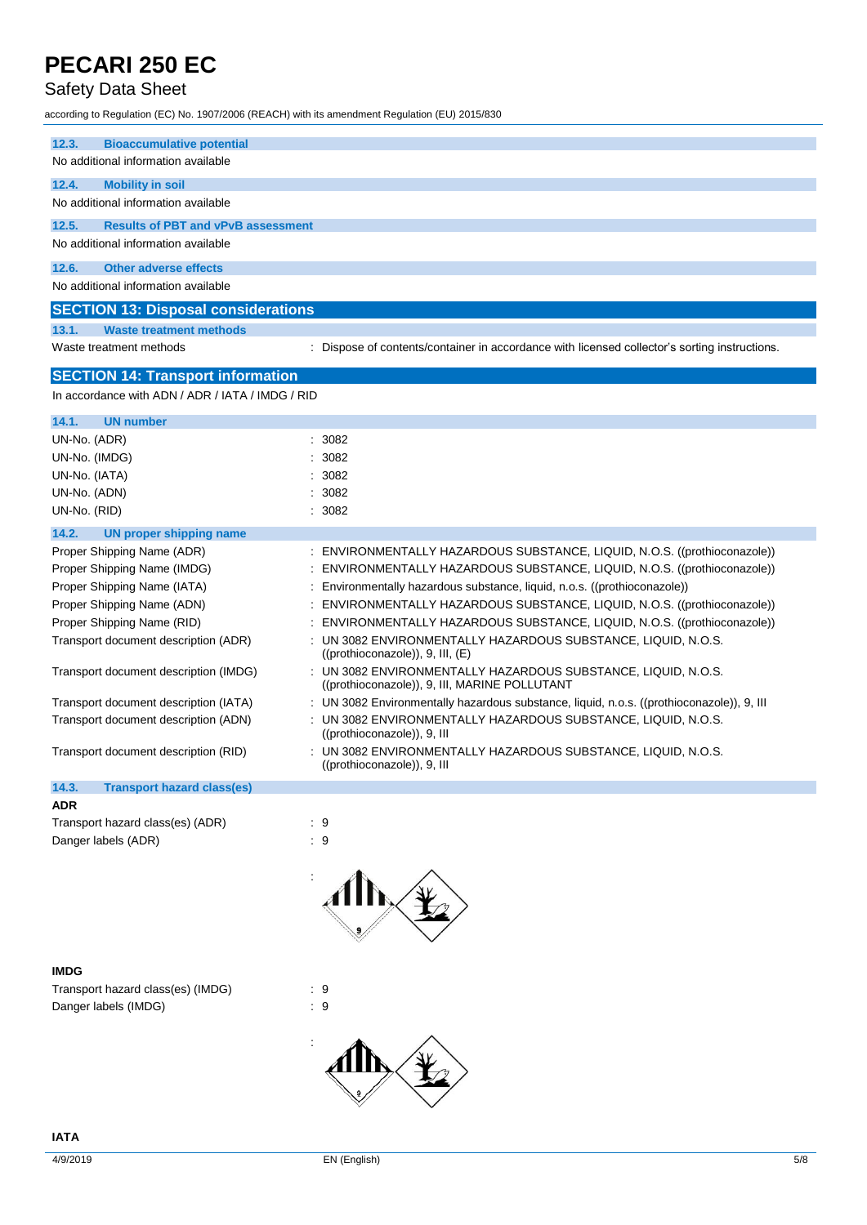## Safety Data Sheet

according to Regulation (EC) No. 1907/2006 (REACH) with its amendment Regulation (EU) 2015/830

| 12.3.<br><b>Bioaccumulative potential</b>          |                                                                                                                |
|----------------------------------------------------|----------------------------------------------------------------------------------------------------------------|
| No additional information available                |                                                                                                                |
| 12.4.<br><b>Mobility in soil</b>                   |                                                                                                                |
| No additional information available                |                                                                                                                |
|                                                    |                                                                                                                |
| 12.5.<br><b>Results of PBT and vPvB assessment</b> |                                                                                                                |
| No additional information available                |                                                                                                                |
| 12.6.<br><b>Other adverse effects</b>              |                                                                                                                |
| No additional information available                |                                                                                                                |
|                                                    |                                                                                                                |
| <b>SECTION 13: Disposal considerations</b>         |                                                                                                                |
| 13.1.<br><b>Waste treatment methods</b>            |                                                                                                                |
| Waste treatment methods                            | Dispose of contents/container in accordance with licensed collector's sorting instructions.                    |
|                                                    |                                                                                                                |
| <b>SECTION 14: Transport information</b>           |                                                                                                                |
| In accordance with ADN / ADR / IATA / IMDG / RID   |                                                                                                                |
| 14.1.<br><b>UN number</b>                          |                                                                                                                |
| UN-No. (ADR)                                       | 3082                                                                                                           |
|                                                    |                                                                                                                |
| UN-No. (IMDG)                                      | 3082                                                                                                           |
| UN-No. (IATA)                                      | 3082                                                                                                           |
| UN-No. (ADN)                                       | 3082                                                                                                           |
| UN-No. (RID)                                       | 3082                                                                                                           |
| 14.2.<br><b>UN proper shipping name</b>            |                                                                                                                |
| Proper Shipping Name (ADR)                         | : ENVIRONMENTALLY HAZARDOUS SUBSTANCE, LIQUID, N.O.S. ((prothioconazole))                                      |
| Proper Shipping Name (IMDG)                        | ENVIRONMENTALLY HAZARDOUS SUBSTANCE, LIQUID, N.O.S. ((prothioconazole))                                        |
|                                                    |                                                                                                                |
| Proper Shipping Name (IATA)<br>÷                   | Environmentally hazardous substance, liquid, n.o.s. ((prothioconazole))                                        |
| Proper Shipping Name (ADN)                         | ENVIRONMENTALLY HAZARDOUS SUBSTANCE, LIQUID, N.O.S. ((prothioconazole))                                        |
| Proper Shipping Name (RID)                         | ENVIRONMENTALLY HAZARDOUS SUBSTANCE, LIQUID, N.O.S. ((prothioconazole))                                        |
| Transport document description (ADR)               | UN 3082 ENVIRONMENTALLY HAZARDOUS SUBSTANCE, LIQUID, N.O.S.<br>$((prothioconazole)$ , 9, III, $(E)$            |
| Transport document description (IMDG)              | : UN 3082 ENVIRONMENTALLY HAZARDOUS SUBSTANCE, LIQUID, N.O.S.<br>((prothioconazole)), 9, III, MARINE POLLUTANT |
| Transport document description (IATA)              | UN 3082 Environmentally hazardous substance, liquid, n.o.s. ((prothioconazole)), 9, III                        |
| Transport document description (ADN)               | UN 3082 ENVIRONMENTALLY HAZARDOUS SUBSTANCE, LIQUID, N.O.S.<br>((prothioconazole)), 9, III                     |
| Transport document description (RID)               | UN 3082 ENVIRONMENTALLY HAZARDOUS SUBSTANCE, LIQUID, N.O.S.<br>((prothioconazole)), 9, III                     |
|                                                    |                                                                                                                |
| 14.3.<br><b>Transport hazard class(es)</b>         |                                                                                                                |
| <b>ADR</b>                                         |                                                                                                                |
| Transport hazard class(es) (ADR)                   | : 9                                                                                                            |
| Danger labels (ADR)                                | : 9                                                                                                            |
|                                                    |                                                                                                                |
| <b>IMDG</b>                                        |                                                                                                                |
| Transport hazard class(es) (IMDG)                  | $\therefore$ 9                                                                                                 |
| Danger labels (IMDG)                               | : 9                                                                                                            |

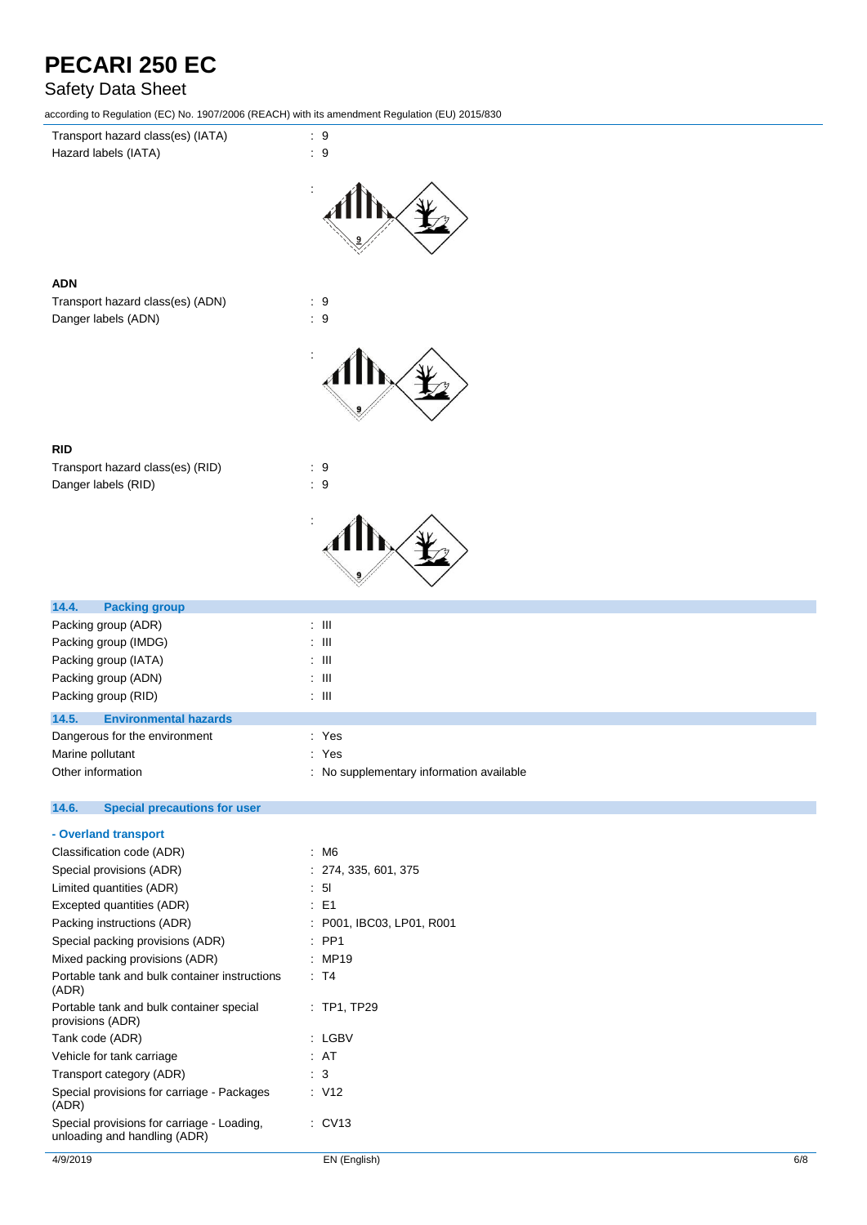## Safety Data Sheet

according to Regulation (EC) No. 1907/2006 (REACH) with its amendment Regulation (EU) 2015/830



| 14.5.                         | <b>Environmental hazards</b> |       |  |
|-------------------------------|------------------------------|-------|--|
| Dangerous for the environment |                              | : Yes |  |
| Marine pollutant              |                              | : Yes |  |

Other information **contact that incrementally contact the contact of the contact of the contact of the contact of the contact of the contact of the contact of the contact of the contact of the contact of the contact of the** 

#### $14.6.$ **14.6. Special precautions for user**

| - Overland transport                                                       |                           |
|----------------------------------------------------------------------------|---------------------------|
| Classification code (ADR)                                                  | : M6                      |
| Special provisions (ADR)                                                   | : 274, 335, 601, 375      |
| Limited quantities (ADR)                                                   | 51                        |
| Excepted quantities (ADR)                                                  | $\pm$ E1                  |
| Packing instructions (ADR)                                                 | : P001, IBC03, LP01, R001 |
| Special packing provisions (ADR)                                           | $\therefore$ PP1          |
| Mixed packing provisions (ADR)                                             | MP19                      |
| Portable tank and bulk container instructions<br>(ADR)                     | : T4                      |
| Portable tank and bulk container special<br>provisions (ADR)               | $\therefore$ TP1, TP29    |
| Tank code (ADR)                                                            | : LGBV                    |
| Vehicle for tank carriage                                                  | : AT                      |
| Transport category (ADR)                                                   | : 3                       |
| Special provisions for carriage - Packages<br>(ADR)                        | : V12                     |
| Special provisions for carriage - Loading,<br>unloading and handling (ADR) | $\therefore$ CV13         |
|                                                                            |                           |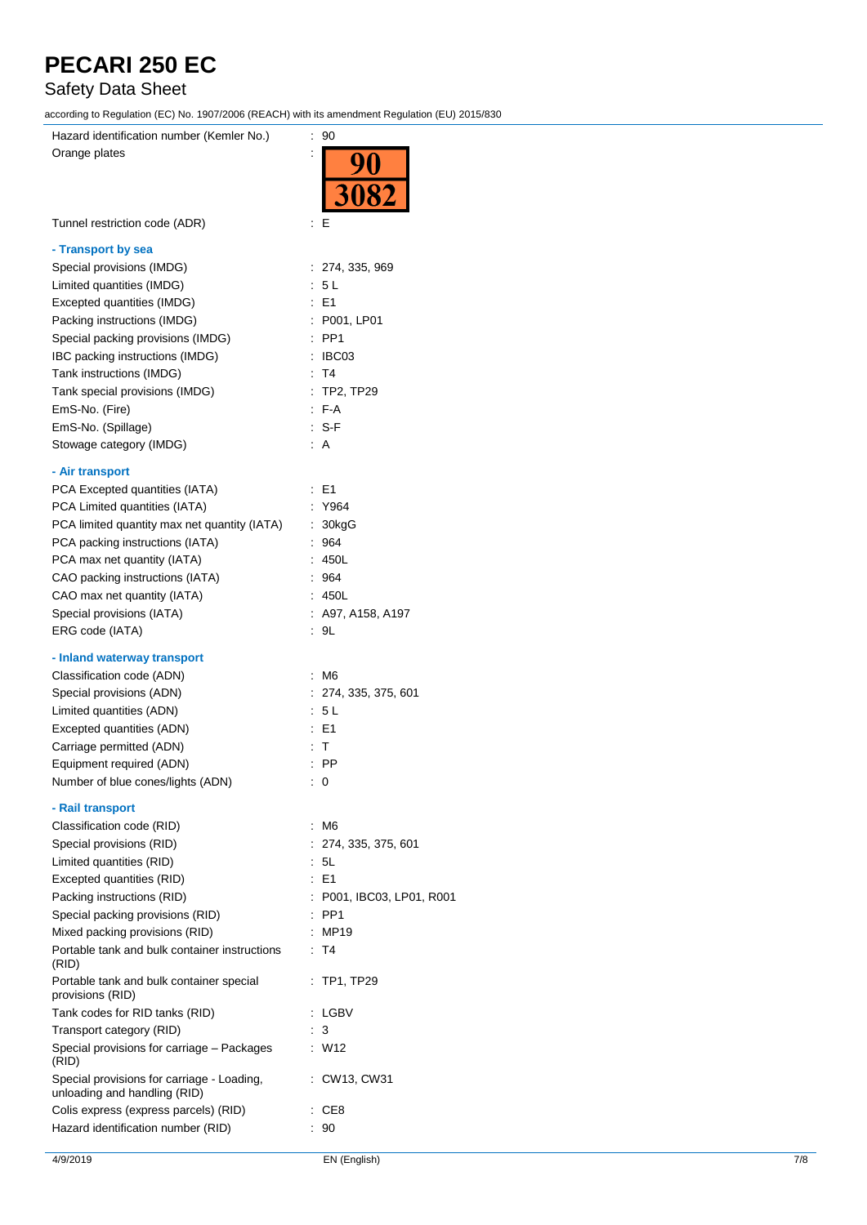## Safety Data Sheet

according to Regulation (EC) No. 1907/2006 (REACH) with its amendment Regulation (EU) 2015/830

| $1000$ and $1000$ and $1000$ and $1000$ and $1000$ and $1000$ and $1000$ and $1000$ and $1000$ and $1000$ |                         |
|-----------------------------------------------------------------------------------------------------------|-------------------------|
| Hazard identification number (Kemler No.)                                                                 | : 90                    |
| Orange plates                                                                                             |                         |
|                                                                                                           | $\frac{90}{3082}$       |
|                                                                                                           |                         |
|                                                                                                           |                         |
| Tunnel restriction code (ADR)                                                                             | Е<br>÷.                 |
|                                                                                                           |                         |
| - Transport by sea                                                                                        |                         |
| Special provisions (IMDG)                                                                                 | : 274, 335, 969         |
| Limited quantities (IMDG)                                                                                 | : 5 L                   |
| Excepted quantities (IMDG)                                                                                | : E1                    |
|                                                                                                           |                         |
| Packing instructions (IMDG)                                                                               | : P001, LP01            |
| Special packing provisions (IMDG)                                                                         | PP <sub>1</sub><br>÷    |
| IBC packing instructions (IMDG)                                                                           | IBC03<br>÷              |
| Tank instructions (IMDG)                                                                                  | T4<br>÷                 |
| Tank special provisions (IMDG)                                                                            | ÷<br><b>TP2, TP29</b>   |
| EmS-No. (Fire)                                                                                            | $F-A$                   |
| EmS-No. (Spillage)                                                                                        | : S-F                   |
| Stowage category (IMDG)                                                                                   | : A                     |
|                                                                                                           |                         |
| - Air transport                                                                                           |                         |
| PCA Excepted quantities (IATA)                                                                            | : E1                    |
| PCA Limited quantities (IATA)                                                                             | Y964                    |
| PCA limited quantity max net quantity (IATA)                                                              | 30kgG<br>÷              |
|                                                                                                           | 964                     |
| PCA packing instructions (IATA)                                                                           |                         |
| PCA max net quantity (IATA)                                                                               | : 450L                  |
| CAO packing instructions (IATA)                                                                           | : 964                   |
| CAO max net quantity (IATA)                                                                               | : 450L                  |
| Special provisions (IATA)                                                                                 | : A97, A158, A197       |
| ERG code (IATA)                                                                                           | : 9L                    |
|                                                                                                           |                         |
| - Inland waterway transport                                                                               |                         |
| Classification code (ADN)                                                                                 | : M6                    |
| Special provisions (ADN)                                                                                  | : 274, 335, 375, 601    |
| Limited quantities (ADN)                                                                                  | 5 L                     |
| Excepted quantities (ADN)                                                                                 | E <sub>1</sub>          |
| Carriage permitted (ADN)                                                                                  | т                       |
| Equipment required (ADN)                                                                                  | PP                      |
| Number of blue cones/lights (ADN)                                                                         | : 0                     |
|                                                                                                           |                         |
| - Rail transport                                                                                          |                         |
| Classification code (RID)                                                                                 | : M6                    |
| Special provisions (RID)                                                                                  | 274, 335, 375, 601      |
| Limited quantities (RID)                                                                                  | 5L<br>t.                |
| Excepted quantities (RID)                                                                                 | : E1                    |
| Packing instructions (RID)                                                                                | P001, IBC03, LP01, R001 |
|                                                                                                           |                         |
| Special packing provisions (RID)                                                                          | PP <sub>1</sub>         |
| Mixed packing provisions (RID)                                                                            | MP19                    |
| Portable tank and bulk container instructions<br>(RID)                                                    | T4                      |
| Portable tank and bulk container special<br>provisions (RID)                                              | TP1, TP29               |
| Tank codes for RID tanks (RID)                                                                            | LGBV                    |
| Transport category (RID)                                                                                  | 3                       |
| Special provisions for carriage - Packages                                                                | W12<br>÷.               |
| (RID)                                                                                                     |                         |
| Special provisions for carriage - Loading,<br>unloading and handling (RID)                                | : CW13, CW31            |
| Colis express (express parcels) (RID)                                                                     | CE8                     |
| Hazard identification number (RID)                                                                        | 90                      |